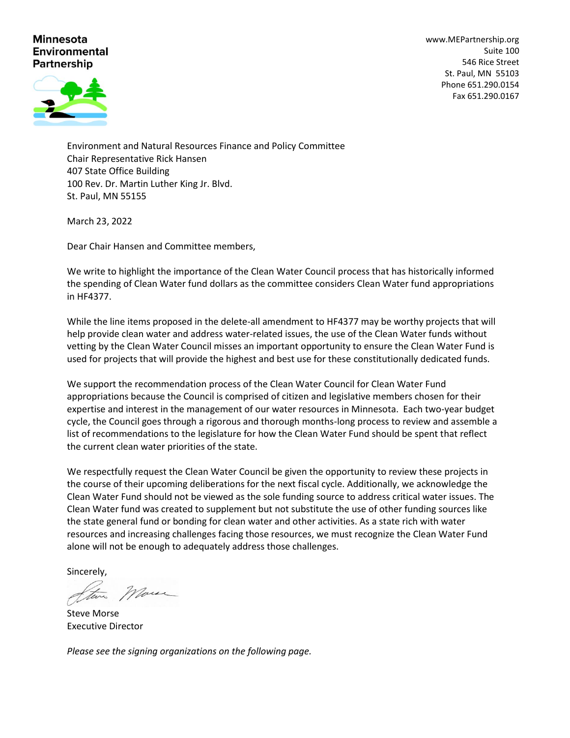## **Minnesota Environmental Partnership**

[www.MEPartnership.org](http://www.mepartnership.org/) Suite 100 546 Rice Street St. Paul, MN 55103 Phone 651.290.0154 Fax 651.290.0167



Environment and Natural Resources Finance and Policy Committee Chair Representative Rick Hansen 407 State Office Building 100 Rev. Dr. Martin Luther King Jr. Blvd. St. Paul, MN 55155

March 23, 2022

Dear Chair Hansen and Committee members,

We write to highlight the importance of the Clean Water Council process that has historically informed the spending of Clean Water fund dollars as the committee considers Clean Water fund appropriations in HF4377.

While the line items proposed in the delete-all amendment to HF4377 may be worthy projects that will help provide clean water and address water-related issues, the use of the Clean Water funds without vetting by the Clean Water Council misses an important opportunity to ensure the Clean Water Fund is used for projects that will provide the highest and best use for these constitutionally dedicated funds.

We support the recommendation process of the Clean Water Council for Clean Water Fund appropriations because the Council is comprised of citizen and legislative members chosen for their expertise and interest in the management of our water resources in Minnesota. Each two-year budget cycle, the Council goes through a rigorous and thorough months-long process to review and assemble a list of recommendations to the legislature for how the Clean Water Fund should be spent that reflect the current clean water priorities of the state.

We respectfully request the Clean Water Council be given the opportunity to review these projects in the course of their upcoming deliberations for the next fiscal cycle. Additionally, we acknowledge the Clean Water Fund should not be viewed as the sole funding source to address critical water issues. The Clean Water fund was created to supplement but not substitute the use of other funding sources like the state general fund or bonding for clean water and other activities. As a state rich with water resources and increasing challenges facing those resources, we must recognize the Clean Water Fund alone will not be enough to adequately address those challenges.

Sincerely,

More

Steve Morse Executive Director

*Please see the signing organizations on the following page.*